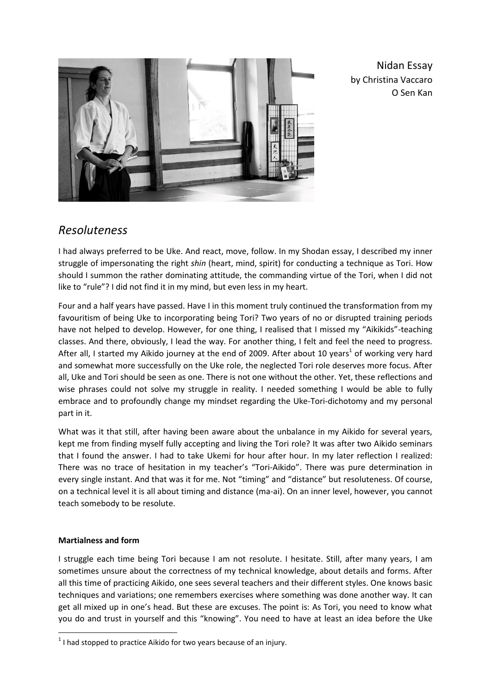

Nidan Essay by Christina Vaccaro O Sen Kan

## *Resoluteness*

I had always preferred to be Uke. And react, move, follow. In my Shodan essay, I described my inner struggle of impersonating the right *shin* (heart, mind, spirit) for conducting a technique as Tori. How should I summon the rather dominating attitude, the commanding virtue of the Tori, when I did not like to "rule"? I did not find it in my mind, but even less in my heart.

Four and a half years have passed. Have I in this moment truly continued the transformation from my favouritism of being Uke to incorporating being Tori? Two years of no or disrupted training periods have not helped to develop. However, for one thing, I realised that I missed my "Aikikids"-teaching classes. And there, obviously, I lead the way. For another thing, I felt and feel the need to progress. After all, I started my Aikido journey at the end of 2009. After about 10 years<sup>1</sup> of working very hard and somewhat more successfully on the Uke role, the neglected Tori role deserves more focus. After all, Uke and Tori should be seen as one. There is not one without the other. Yet, these reflections and wise phrases could not solve my struggle in reality. I needed something I would be able to fully embrace and to profoundly change my mindset regarding the Uke-Tori-dichotomy and my personal part in it.

What was it that still, after having been aware about the unbalance in my Aikido for several years, kept me from finding myself fully accepting and living the Tori role? It was after two Aikido seminars that I found the answer. I had to take Ukemi for hour after hour. In my later reflection I realized: There was no trace of hesitation in my teacher's "Tori-Aikido". There was pure determination in every single instant. And that was it for me. Not "timing" and "distance" but resoluteness. Of course, on a technical level it is all about timing and distance (ma-ai). On an inner level, however, you cannot teach somebody to be resolute.

## **Martialness and form**

**.** 

I struggle each time being Tori because I am not resolute. I hesitate. Still, after many years, I am sometimes unsure about the correctness of my technical knowledge, about details and forms. After all this time of practicing Aikido, one sees several teachers and their different styles. One knows basic techniques and variations; one remembers exercises where something was done another way. It can get all mixed up in one's head. But these are excuses. The point is: As Tori, you need to know what you do and trust in yourself and this "knowing". You need to have at least an idea before the Uke

 $1$  I had stopped to practice Aikido for two years because of an injury.